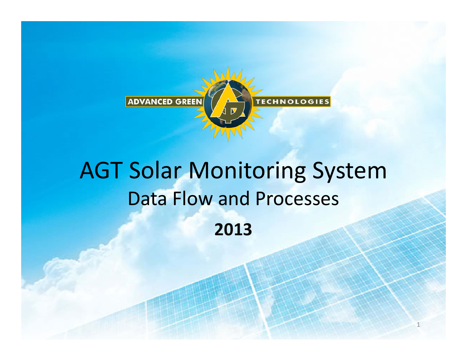

# AGT Solar Monitoring System Data Flow and Processes **2013**

1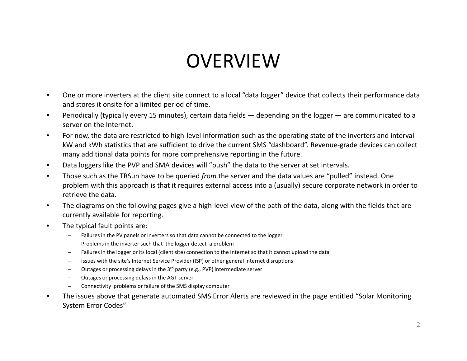### OVERVIEW

- • One or more inverters at the client site connect to <sup>a</sup> local "data logger" device that collects their performance data and stores it onsite for <sup>a</sup> limited period of time.
- • Periodically (typically every 15 minutes), certain data fields — depending on the logger — are communicated to <sup>a</sup> server on the Internet.
- •For now, the data are restricted to high-level information such as the operating state of the inverters and interval kW and kWh statistics that are sufficient to drive the current SMS "dashboard". Revenue‐grade devices can collect many additional data points for more comprehensive reporting in the future.
- •Data loggers like the PVP and SMA devices will "push" the data to the server at set intervals.
- • Those such as the TRSun have to be queried *from* the server and the data values are "pulled" instead. One problem with this approach is that it requires external access into <sup>a</sup> (usually) secure corporate network in order to retrieve the data.
- • The diagrams on the following pages give <sup>a</sup> high‐level view of the path of the data, along with the fields that are currently available for reporting.
- • The typical fault points are:
	- – $-$  Failures in the PV panels or inverters so that data cannot be connected to the logger
	- –Problems in the inverter such that the logger detect <sup>a</sup> problem
	- –Failures in the logger or its local (client site) connection to the Internet so that it cannot upload the data
	- –Issues with the site's Internet Service Provider (ISP) or other general Internet disruptions
	- –Outages or processing delays in the 3<sup>rd</sup> party (e.g., PVP) intermediate server
	- –Outages or processing delays in the AGT server
	- –Connectivity problems or failure of the SMS display computer
- • The issues above that generate automated SMS Error Alerts are reviewed in the page entitled "Solar Monitoring System Error Codes"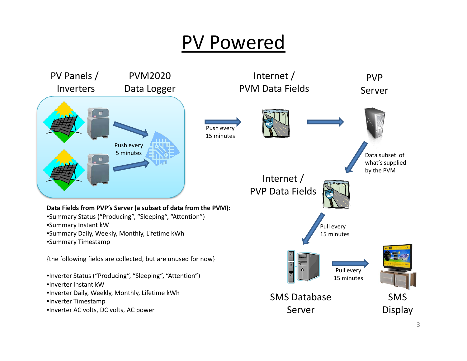#### PV Powered

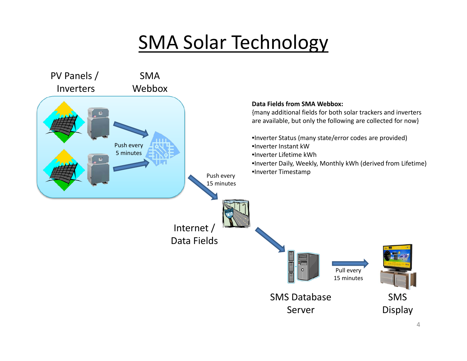## SMA Solar Technology

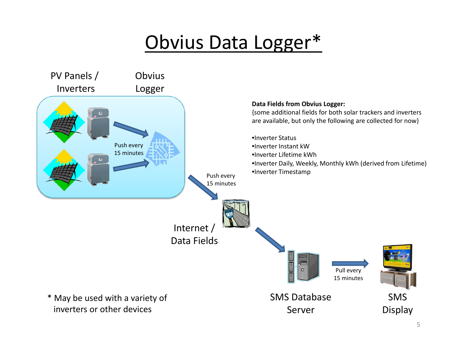### Obvius Data Logger\*

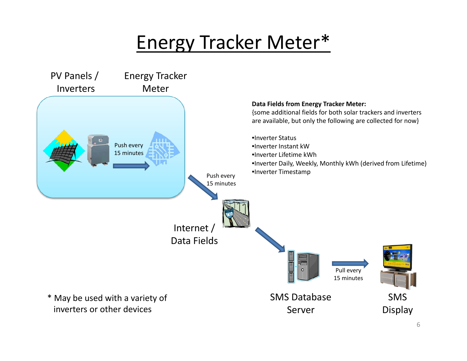### Energy Tracker Meter\*

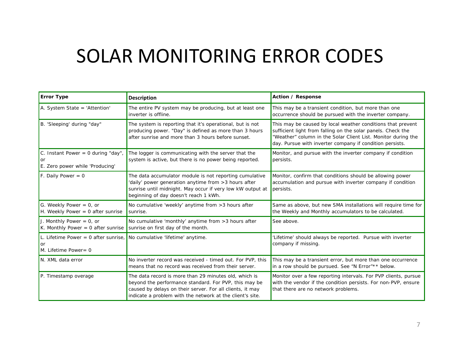### SOLAR MONITORING ERROR CODES

| <b>Error Type</b>                                                       | <b>Description</b>                                                                                                                                                                                                                       | Action / Response                                                                                                                                                                                                                                        |
|-------------------------------------------------------------------------|------------------------------------------------------------------------------------------------------------------------------------------------------------------------------------------------------------------------------------------|----------------------------------------------------------------------------------------------------------------------------------------------------------------------------------------------------------------------------------------------------------|
| A. System State = 'Attention'                                           | The entire PV system may be producing, but at least one<br>inverter is offline.                                                                                                                                                          | This may be a transient condition, but more than one<br>occurrence should be pursued with the inverter company.                                                                                                                                          |
| B. 'Sleeping' during "day"                                              | The system is reporting that it's operational, but is not<br>producing power. "Day" is defined as more than 3 hours<br>after sunrise and more than 3 hours before sunset.                                                                | This may be caused by local weather conditions that prevent<br>sufficient light from falling on the solar panels. Check the<br>"Weather" column in the Solar Client List. Monitor during the<br>day. Pursue with inverter company if condition persists. |
| C. Instant Power = $0$ during "day",<br>E. Zero power while 'Producing' | The logger is communicating with the server that the<br>system is active, but there is no power being reported.                                                                                                                          | Monitor, and pursue with the inverter company if condition<br>persists.                                                                                                                                                                                  |
| F. Daily Power = $0$                                                    | The data accumulator module is not reporting cumulative<br>'daily' power generation anytime from > 3 hours after<br>sunrise until midnight. May occur if very low kW output at<br>beginning of day doesn't reach 1 kWh.                  | Monitor, confirm that conditions should be allowing power<br>accumulation and pursue with inverter company if condition<br>persists.                                                                                                                     |
| G. Weekly Power = $0$ , or<br>H. Weekly Power = $0$ after sunrise       | No cumulative 'weekly' anytime from > 3 hours after<br>sunrise.                                                                                                                                                                          | Same as above, but new SMA installations will require time for<br>the Weekly and Monthly accumulators to be calculated.                                                                                                                                  |
| J. Monthly Power $= 0$ , or<br>K. Monthly Power = $0$ after sunrise     | No cumulative 'monthly' anytime from > 3 hours after<br>sunrise on first day of the month.                                                                                                                                               | See above.                                                                                                                                                                                                                                               |
| L. Lifetime Power = $0$ after sunrise,<br>or<br>M. Lifetime Power = 0   | No cumulative 'lifetime' anytime.                                                                                                                                                                                                        | 'Lifetime' should always be reported. Pursue with inverter<br>company if missing.                                                                                                                                                                        |
| N. XML data error                                                       | No inverter record was received - timed out. For PVP, this<br>means that no record was received from their server.                                                                                                                       | This may be a transient error, but more than one occurrence<br>in a row should be pursued. See "N Error"** below.                                                                                                                                        |
| P. Timestamp overage                                                    | The data record is more than 29 minutes old, which is<br>beyond the performance standard. For PVP, this may be<br>caused by delays on their server. For all clients, it may<br>indicate a problem with the network at the client's site. | Monitor over a few reporting intervals. For PVP clients, pursue<br>with the vendor if the condition persists. For non-PVP, ensure<br>that there are no network problems.                                                                                 |